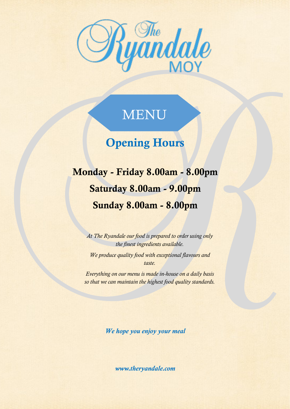

# MENU

## Opening Hours

Monday - Friday 8.00am - 8.00pm Saturday 8.00am - 9.00pm Sunday 8.00am - 8.00pm

*At The Ryandale our food is prepared to order using only the finest ingredients available.* 

*We produce quality food with exceptional flavours and taste.* 

*Everything on our menu is made in-house on a daily basis so that we can maintain the highest food quality standards.*

*We hope you enjoy your meal*

*www.theryandale.com*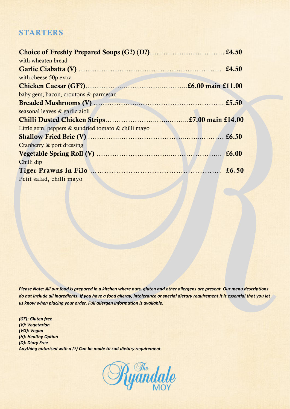### **STARTERS**

| with wheaten bread                                  |  |
|-----------------------------------------------------|--|
|                                                     |  |
| with cheese 50p extra                               |  |
|                                                     |  |
| baby gem, bacon, croutons & parmesan                |  |
|                                                     |  |
| seasonal leaves & garlic aioli                      |  |
|                                                     |  |
|                                                     |  |
| Little gem, peppers & sundried tomato & chilli mayo |  |
|                                                     |  |
| Cranberry & port dressing                           |  |
|                                                     |  |
| Chilli dip                                          |  |
|                                                     |  |

*Please Note: All our food is prepared in a kitchen where nuts, gluten and other allergens are present. Our menu descriptions do not include all ingredients. If you have a food allergy, intolerance or special dietary requirement it is essential that you let us know when placing your order. Full allergen information is available.* 

*(GF): Gluten free (V): Vegetarian (VG): Vegan (H): Healthy Option (D): Diary Free Anything notarised with a (?) Can be made to suit dietary requirement*

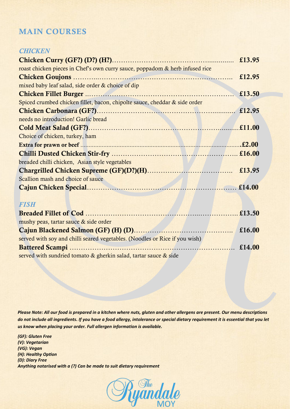## MAIN COURSES

#### *CHICKEN*

| roast chicken pieces in Chef's own curry sauce, poppadom & herb infused rice |        |
|------------------------------------------------------------------------------|--------|
|                                                                              | £12.95 |
| mixed baby leaf salad, side order & choice of dip                            |        |
|                                                                              | £13.50 |
| Spiced crumbed chicken fillet, bacon, chipolte sauce, cheddar & side order   |        |
|                                                                              |        |
| needs no introduction! Garlic bread                                          |        |
|                                                                              |        |
| Choice of chicken, turkey, ham                                               |        |
|                                                                              |        |
|                                                                              |        |
| breaded chilli chicken, Asian style vegetables                               |        |
|                                                                              |        |
| Scallion mash and choice of sauce                                            |        |
|                                                                              |        |
|                                                                              |        |

#### *FISH*

| mushy peas, tartar sauce & side order                                       |  |
|-----------------------------------------------------------------------------|--|
|                                                                             |  |
| served with soy and chilli seared vegetables. (Noodles or Rice if you wish) |  |
|                                                                             |  |
| served with sundried tomato & gherkin salad, tartar sauce & side            |  |

*Please Note: All our food is prepared in a kitchen where nuts, gluten and other allergens are present. Our menu descriptions do not include all ingredients. If you have a food allergy, intolerance or special dietary requirement it is essential that you let us know when placing your order. Full allergen information is available.* 

*(GF): Gluten Free (V): Vegetarian (VG): Vegan (H): Healthy Option (D): Diary Free Anything notarised with a (?) Can be made to suit dietary requirement*

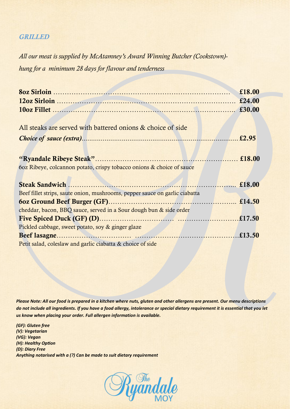#### *GRILLED*

*All our meat is supplied by McAtamney's Award Winning Butcher (Cookstown) hung for a minimum 28 days for flavour and tenderness*

|                                                                             | £18.00 |
|-----------------------------------------------------------------------------|--------|
|                                                                             |        |
|                                                                             |        |
|                                                                             |        |
| All steaks are served with battered onions & choice of side                 |        |
|                                                                             | £2.95  |
|                                                                             |        |
|                                                                             |        |
| 60z Ribeye, colcannon potato, crispy tobacco onions & choice of sauce       |        |
|                                                                             |        |
|                                                                             |        |
| Beef fillet strips, saute onion, mushrooms, pepper sauce on garlic ciabatta |        |
|                                                                             |        |
| cheddar, bacon, BBQ sauce, served in a Sour dough bun & side order          |        |
|                                                                             |        |
| Pickled cabbage, sweet potato, soy & ginger glaze                           |        |
|                                                                             |        |
| Petit salad, coleslaw and garlic ciabatta & choice of side                  |        |

*Please Note: All our food is prepared in a kitchen where nuts, gluten and other allergens are present. Our menu descriptions do not include all ingredients. If you have a food allergy, intolerance or special dietary requirement it is essential that you let us know when placing your order. Full allergen information is available.* 

*(GF): Gluten free (V): Vegetarian (VG): Vegan (H): Healthy Option (D): Diary Free Anything notarised with a (?) Can be made to suit dietary requirement*

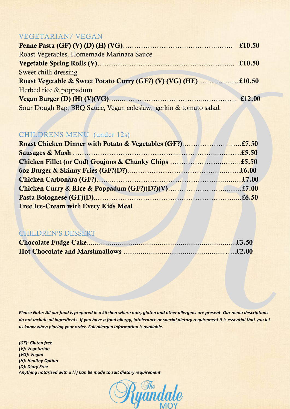#### VEGETARIAN/ VEGAN

| Roast Vegetables, Homemade Marinara Sauce                        |  |
|------------------------------------------------------------------|--|
|                                                                  |  |
| Sweet chilli dressing                                            |  |
|                                                                  |  |
| Herbed rice & poppadum                                           |  |
|                                                                  |  |
| Sour Dough Bap, BBQ Sauce, Vegan coleslaw, gerkin & tomato salad |  |

#### CHILDRENS MENU (under 12s)

| <b>Free Ice-Cream with Every Kids Meal</b> |  |
|--------------------------------------------|--|

### CHILDREN'S DESSERT

*Please Note: All our food is prepared in a kitchen where nuts, gluten and other allergens are present. Our menu descriptions do not include all ingredients. If you have a food allergy, intolerance or special dietary requirement it is essential that you let us know when placing your order. Full allergen information is available.* 

*(GF): Gluten free (V): Vegetarian (VG): Vegan (H): Healthy Option (D): Diary Free Anything notarised with a (?) Can be made to suit dietary requirement*

*S <sup>The</sup> dal*